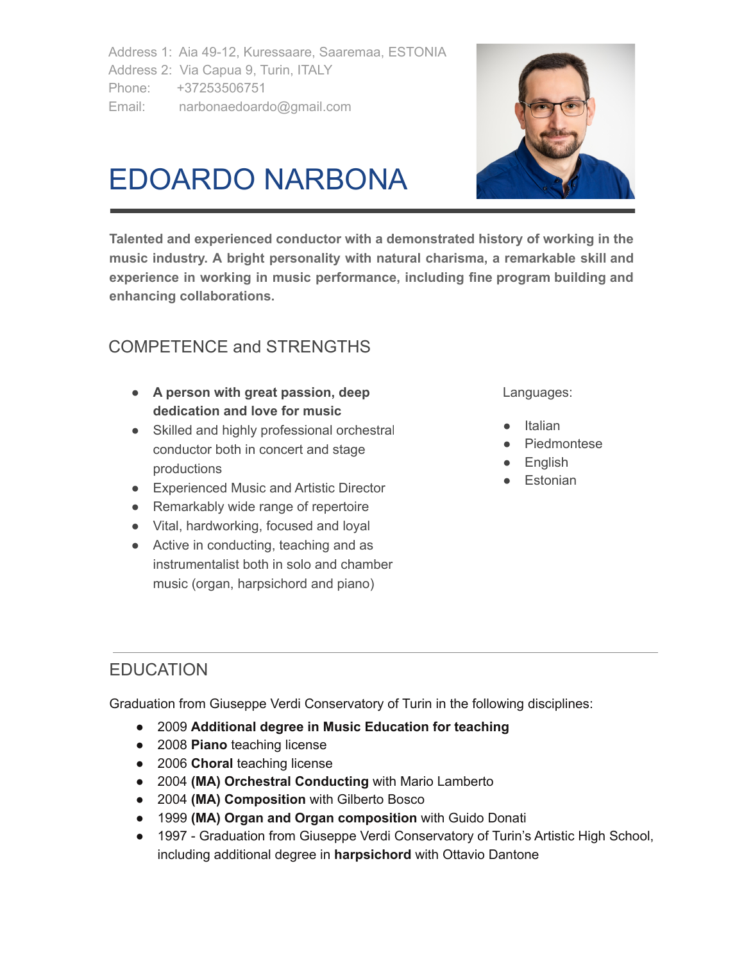Address 1: Aia 49-12, Kuressaare, Saaremaa, ESTONIA Address 2: Via Capua 9, Turin, ITALY Phone: +37253506751 Email: narbonaedoardo@gmail.com



# EDOARDO NARBONA

**Talented and experienced conductor with a demonstrated history of working in the music industry. A bright personality with natural charisma, a remarkable skill and experience in working in music performance, including fine program building and enhancing collaborations.**

# COMPETENCE and STRENGTHS

- **● A person with great passion, deep dedication and love for music**
- Skilled and highly professional orchestral conductor both in concert and stage productions
- Experienced Music and Artistic Director
- Remarkably wide range of repertoire
- Vital, hardworking, focused and loyal
- Active in conducting, teaching and as instrumentalist both in solo and chamber music (organ, harpsichord and piano)

Languages:

- Italian
- Piedmontese
- English
- Estonian

# **EDUCATION**

Graduation from Giuseppe Verdi Conservatory of Turin in the following disciplines:

- 2009 **Additional degree in Music Education for teaching**
- 2008 **Piano** teaching license
- 2006 **Choral** teaching license
- 2004 **(MA) Orchestral Conducting** with Mario Lamberto
- 2004 **(MA) Composition** with Gilberto Bosco
- 1999 **(MA) Organ and Organ composition** with Guido Donati
- 1997 Graduation from Giuseppe Verdi Conservatory of Turin's Artistic High School, including additional degree in **harpsichord** with Ottavio Dantone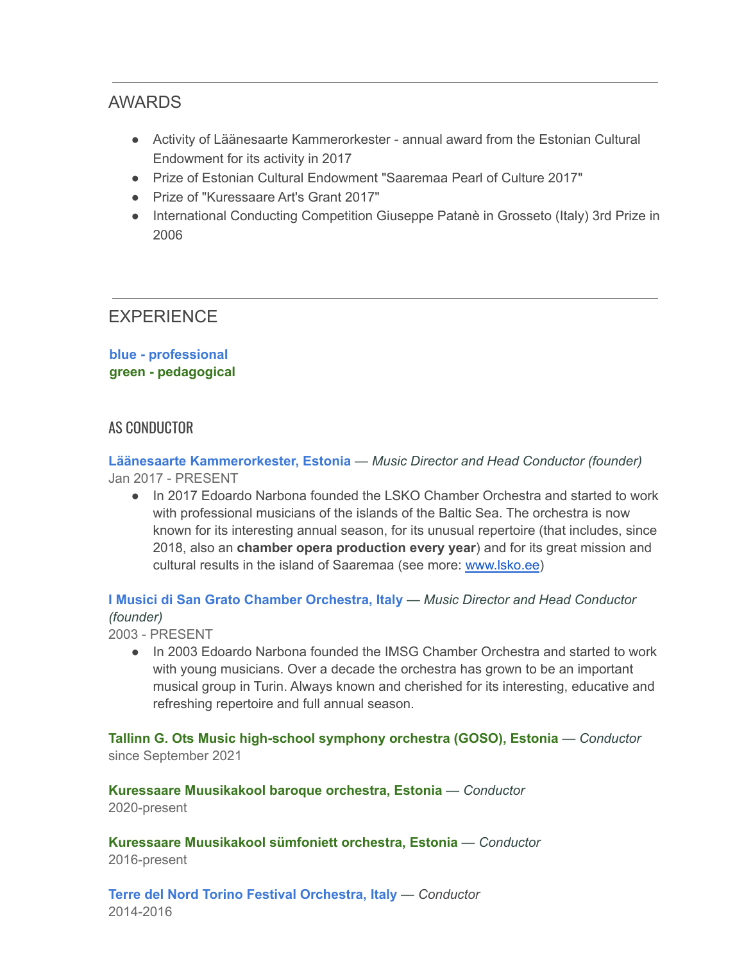### AWARDS

- Activity of Läänesaarte Kammerorkester annual award from the Estonian Cultural Endowment for its activity in 2017
- Prize of Estonian Cultural Endowment "Saaremaa Pearl of Culture 2017"
- Prize of "Kuressaare Art's Grant 2017"
- International Conducting Competition Giuseppe Patanè in Grosseto (Italy) 3rd Prize in 2006

## **EXPERIENCE**

**blue - professional green - pedagogical**

#### AS CONDUCTOR

**Läänesaarte Kammerorkester, Estonia** *— Music Director and Head Conductor (founder)* Jan 2017 - PRESENT

● In 2017 Edoardo Narbona founded the LSKO Chamber Orchestra and started to work with professional musicians of the islands of the Baltic Sea. The orchestra is now known for its interesting annual season, for its unusual repertoire (that includes, since 2018, also an **chamber opera production every year**) and for its great mission and cultural results in the island of Saaremaa (see more: [www.lsko.ee](http://www.lsko.ee))

**I Musici di San Grato Chamber Orchestra, Italy** *— Music Director and Head Conductor (founder)*

2003 - PRESENT

● In 2003 Edoardo Narbona founded the IMSG Chamber Orchestra and started to work with young musicians. Over a decade the orchestra has grown to be an important musical group in Turin. Always known and cherished for its interesting, educative and refreshing repertoire and full annual season.

**Tallinn G. Ots Music high-school symphony orchestra (GOSO), Estonia** *— Conductor* since September 2021

**Kuressaare Muusikakool baroque orchestra, Estonia** *— Conductor* 2020-present

**Kuressaare Muusikakool sümfoniett orchestra, Estonia** *— Conductor* 2016-present

**Terre del Nord Torino Festival Orchestra, Italy** *— Conductor* 2014-2016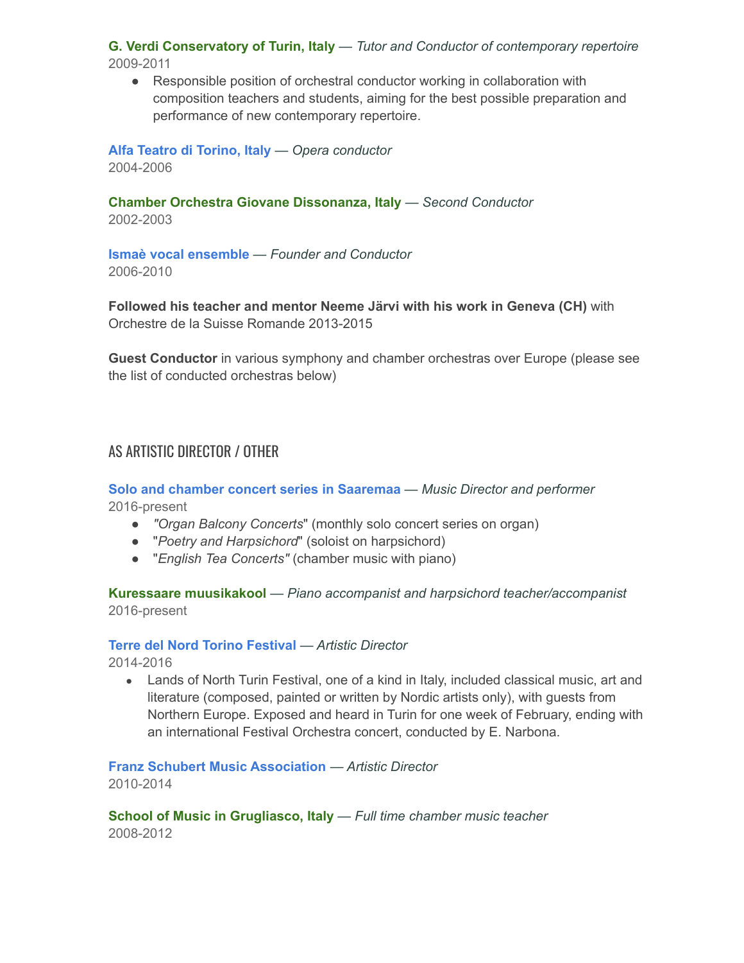**G. Verdi Conservatory of Turin, Italy** *— Tutor and Conductor of contemporary repertoire* 2009-2011

● Responsible position of orchestral conductor working in collaboration with composition teachers and students, aiming for the best possible preparation and performance of new contemporary repertoire.

**Alfa Teatro di Torino, Italy** *— Opera conductor* 2004-2006

**Chamber Orchestra Giovane Dissonanza, Italy** *— Second Conductor* 2002-2003

**Ismaè vocal ensemble** *— Founder and Conductor* 2006-2010

**Followed his teacher and mentor Neeme Järvi with his work in Geneva (CH)** with Orchestre de la Suisse Romande 2013-2015

**Guest Conductor** in various symphony and chamber orchestras over Europe (please see the list of conducted orchestras below)

#### AS ARTISTIC DIRECTOR / OTHER

**Solo and chamber concert series in Saaremaa** *— Music Director and performer* 2016-present

- *● "Organ Balcony Concerts*" (monthly solo concert series on organ)
- *●* "*Poetry and Harpsichord*" (soloist on harpsichord)
- *●* "*English Tea Concerts"* (chamber music with piano)

**Kuressaare muusikakool** *— Piano accompanist and harpsichord teacher/accompanist* 2016-present

#### **Terre del Nord Torino Festival** *— Artistic Director*

2014-2016

• Lands of North Turin Festival, one of a kind in Italy, included classical music, art and literature (composed, painted or written by Nordic artists only), with guests from Northern Europe. Exposed and heard in Turin for one week of February, ending with an international Festival Orchestra concert, conducted by E. Narbona.

**Franz Schubert Music Association** *— Artistic Director* 2010-2014

**School of Music in Grugliasco, Italy** *— Full time chamber music teacher* 2008-2012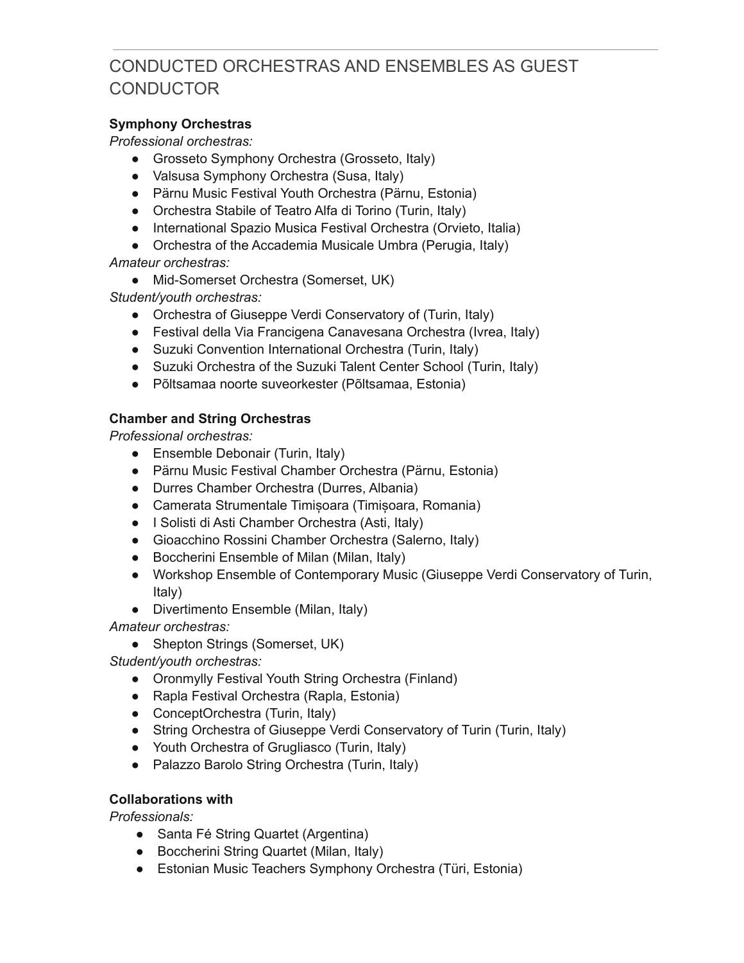# CONDUCTED ORCHESTRAS AND ENSEMBLES AS GUEST **CONDUCTOR**

#### **Symphony Orchestras**

*Professional orchestras:*

- Grosseto Symphony Orchestra (Grosseto, Italy)
- Valsusa Symphony Orchestra (Susa, Italy)
- Pärnu Music Festival Youth Orchestra (Pärnu, Estonia)
- Orchestra Stabile of Teatro Alfa di Torino (Turin, Italy)
- International Spazio Musica Festival Orchestra (Orvieto, Italia)
- Orchestra of the Accademia Musicale Umbra (Perugia, Italy)

*Amateur orchestras:*

● Mid-Somerset Orchestra (Somerset, UK)

*Student/youth orchestras:*

- Orchestra of Giuseppe Verdi Conservatory of (Turin, Italy)
- Festival della Via Francigena Canavesana Orchestra (Ivrea, Italy)
- Suzuki Convention International Orchestra (Turin, Italy)
- Suzuki Orchestra of the Suzuki Talent Center School (Turin, Italy)
- Põltsamaa noorte suveorkester (Põltsamaa, Estonia)

#### **Chamber and String Orchestras**

*Professional orchestras:*

- Ensemble Debonair (Turin, Italy)
- Pärnu Music Festival Chamber Orchestra (Pärnu, Estonia)
- Durres Chamber Orchestra (Durres, Albania)
- Camerata Strumentale Timișoara (Timișoara, Romania)
- I Solisti di Asti Chamber Orchestra (Asti, Italy)
- Gioacchino Rossini Chamber Orchestra (Salerno, Italy)
- Boccherini Ensemble of Milan (Milan, Italy)
- Workshop Ensemble of Contemporary Music (Giuseppe Verdi Conservatory of Turin, Italy)
- Divertimento Ensemble (Milan, Italy)

*Amateur orchestras:*

• Shepton Strings (Somerset, UK)

*Student/youth orchestras:*

- Oronmylly Festival Youth String Orchestra (Finland)
- Rapla Festival Orchestra (Rapla, Estonia)
- ConceptOrchestra (Turin, Italy)
- String Orchestra of Giuseppe Verdi Conservatory of Turin (Turin, Italy)
- Youth Orchestra of Grugliasco (Turin, Italy)
- Palazzo Barolo String Orchestra (Turin, Italy)

#### **Collaborations with**

*Professionals:*

- Santa Fé String Quartet (Argentina)
- Boccherini String Quartet (Milan, Italy)
- Estonian Music Teachers Symphony Orchestra (Türi, Estonia)